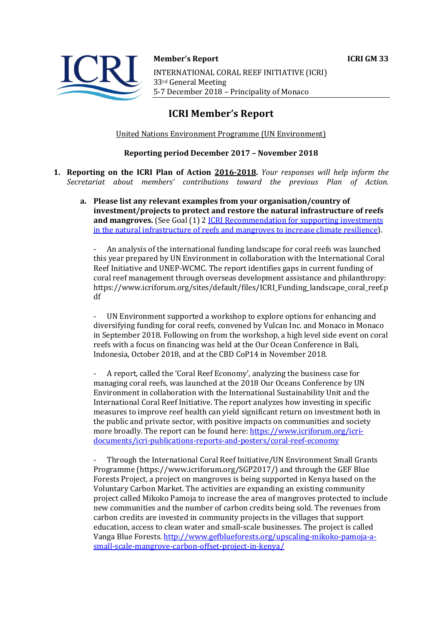

**Member's Report ICRI GM 33** INTERNATIONAL CORAL REEF INITIATIVE (ICRI) 33rd General Meeting 5-7 December 2018 - Principality of Monaco

# **ICRI Member's Report**

United Nations Environment Programme (UN Environment)

### **Reporting period December 2017 - November 2018**

- **1. Reporting on the ICRI Plan of Action 2016-2018.** *Your responses will help inform the Secretariat about members' contributions toward the previous Plan of Action.*
	- a. Please list any relevant examples from your organisation/country of **investment/projects to protect and restore the natural infrastructure of reefs and mangroves.** (See Goal (1) 2 *ICRI Recommendation for supporting investments* in the natural infrastructure of reefs and mangroves to increase climate resilience).

An analysis of the international funding landscape for coral reefs was launched this year prepared by UN Environment in collaboration with the International Coral Reef Initiative and UNEP-WCMC. The report identifies gaps in current funding of coral reef management through overseas development assistance and philanthropy: https://www.icriforum.org/sites/default/files/ICRI\_Funding\_landscape\_coral\_reef.p df

UN Environment supported a workshop to explore options for enhancing and diversifying funding for coral reefs, convened by Vulcan Inc. and Monaco in Monaco in September 2018. Following on from the workshop, a high level side event on coral reefs with a focus on financing was held at the Our Ocean Conference in Bali, Indonesia, October 2018, and at the CBD CoP14 in November 2018.

A report, called the 'Coral Reef Economy', analyzing the business case for managing coral reefs, was launched at the 2018 Our Oceans Conference by UN Environment in collaboration with the International Sustainability Unit and the International Coral Reef Initiative. The report analyzes how investing in specific measures to improve reef health can yield significant return on investment both in the public and private sector, with positive impacts on communities and society more broadly. The report can be found here: https://www.icriforum.org/icridocuments/icri-publications-reports-and-posters/coral-reef-economy

Through the International Coral Reef Initiative/UN Environment Small Grants Programme  $\frac{(\text{https://www.icriforum.org/SGP2017/})}{(\text{https://www.icriforum.org/SGP2017/})}$  and through the GEF Blue Forests Project, a project on mangroves is being supported in Kenya based on the Voluntary Carbon Market. The activities are expanding an existing community project called Mikoko Pamoja to increase the area of mangroves protected to include new communities and the number of carbon credits being sold. The revenues from carbon credits are invested in community projects in the villages that support education, access to clean water and small-scale businesses. The project is called Vanga Blue Forests. http://www.gefblueforests.org/upscaling-mikoko-pamoja-asmall-scale-mangrove-carbon-offset-project-in-kenya/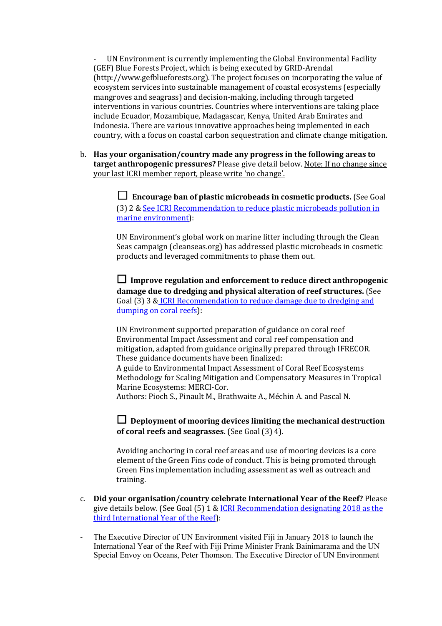UN Environment is currently implementing the Global Environmental Facility (GEF) Blue Forests Project, which is being executed by GRID-Arendal (http://www.gefblueforests.org). The project focuses on incorporating the value of ecosystem services into sustainable management of coastal ecosystems (especially mangroves and seagrass) and decision-making, including through targeted interventions in various countries. Countries where interventions are taking place include Ecuador, Mozambique, Madagascar, Kenya, United Arab Emirates and Indonesia. There are various innovative approaches being implemented in each country, with a focus on coastal carbon sequestration and climate change mitigation.

b. Has your organisation/country made any progress in the following areas to **target anthropogenic pressures?** Please give detail below. Note: If no change since your last ICRI member report, please write 'no change'.

> **□** Encourage ban of plastic microbeads in cosmetic products. (See Goal (3) 2 & See ICRI Recommendation to reduce plastic microbeads pollution in marine environment):

> UN Environment's global work on marine litter including through the Clean Seas campaign (cleanseas.org) has addressed plastic microbeads in cosmetic products and leveraged commitments to phase them out.

 $\Box$  Improve regulation and enforcement to reduce direct anthropogenic damage due to dredging and physical alteration of reef structures. (See Goal (3) 3 & ICRI Recommendation to reduce damage due to dredging and dumping on coral reefs):

UN Environment supported preparation of guidance on coral reef Environmental Impact Assessment and coral reef compensation and mitigation, adapted from guidance originally prepared through IFRECOR. These guidance documents have been finalized:

A guide to Environmental Impact Assessment of Coral Reef Ecosystems Methodology for Scaling Mitigation and Compensatory Measures in Tropical Marine Ecosystems: MERCI-Cor.

Authors: Pioch S., Pinault M., Brathwaite A., Méchin A. and Pascal N.

 $\Box$  Deployment of mooring devices limiting the mechanical destruction **of coral reefs and seagrasses.** (See Goal (3) 4).

Avoiding anchoring in coral reef areas and use of mooring devices is a core element of the Green Fins code of conduct. This is being promoted through Green Fins implementation including assessment as well as outreach and training. 

- c. **Did your organisation/country celebrate International Year of the Reef?** Please give details below. (See Goal  $(5)$  1 & ICRI Recommendation designating 2018 as the third International Year of the Reef):
- The Executive Director of UN Environment visited Fiji in January 2018 to launch the International Year of the Reef with Fiji Prime Minister Frank Bainimarama and the UN Special Envoy on Oceans, Peter Thomson. The Executive Director of UN Environment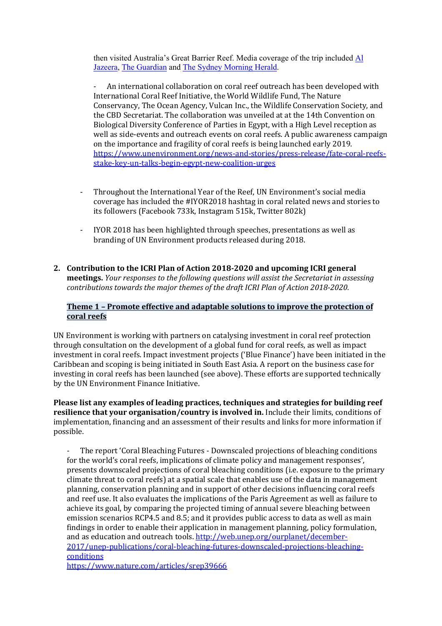then visited Australia's Great Barrier Reef. Media coverage of the trip included Al Jazeera, The Guardian and The Sydney Morning Herald.

An international collaboration on coral reef outreach has been developed with International Coral Reef Initiative, the World Wildlife Fund, The Nature Conservancy, The Ocean Agency, Vulcan Inc., the Wildlife Conservation Society, and the CBD Secretariat. The collaboration was unveiled at at the 14th Convention on Biological Diversity Conference of Parties in Egypt, with a High Level reception as well as side-events and outreach events on coral reefs. A public awareness campaign on the importance and fragility of coral reefs is being launched early 2019. https://www.unenvironment.org/news-and-stories/press-release/fate-coral-reefsstake-key-un-talks-begin-egypt-new-coalition-urges

- Throughout the International Year of the Reef, UN Environment's social media coverage has included the #IYOR2018 hashtag in coral related news and stories to its followers (Facebook 733k, Instagram 515k, Twitter 802k)
- IYOR 2018 has been highlighted through speeches, presentations as well as branding of UN Environment products released during 2018.
- 2. Contribution to the ICRI Plan of Action 2018-2020 and upcoming ICRI general **meetings.** *Your responses to the following questions will assist the Secretariat in assessing contributions towards the major themes of the draft ICRI Plan of Action 2018-2020.*

## **Theme 1** – Promote effective and adaptable solutions to improve the protection of **coral reefs**

UN Environment is working with partners on catalysing investment in coral reef protection through consultation on the development of a global fund for coral reefs, as well as impact investment in coral reefs. Impact investment projects ('Blue Finance') have been initiated in the Caribbean and scoping is being initiated in South East Asia. A report on the business case for investing in coral reefs has been launched (see above). These efforts are supported technically by the UN Environment Finance Initiative.

Please list any examples of leading practices, techniques and strategies for building reef **resilience that your organisation/country is involved in.** Include their limits, conditions of implementation, financing and an assessment of their results and links for more information if possible.

The report 'Coral Bleaching Futures - Downscaled projections of bleaching conditions for the world's coral reefs, implications of climate policy and management responses', presents downscaled projections of coral bleaching conditions (i.e. exposure to the primary climate threat to coral reefs) at a spatial scale that enables use of the data in management planning, conservation planning and in support of other decisions influencing coral reefs and reef use. It also evaluates the implications of the Paris Agreement as well as failure to achieve its goal, by comparing the projected timing of annual severe bleaching between emission scenarios RCP4.5 and 8.5; and it provides public access to data as well as main findings in order to enable their application in management planning, policy formulation, and as education and outreach tools.  $http://web.unep.org/ourplanet/december-$ 2017/unep-publications/coral-bleaching-futures-downscaled-projections-bleachingconditions https://www.nature.com/articles/srep39666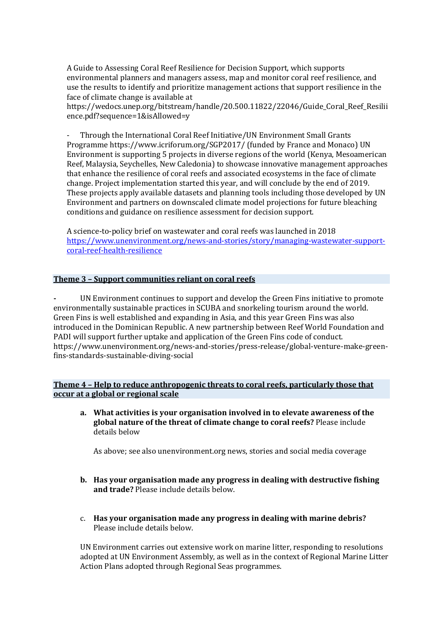A Guide to Assessing Coral Reef Resilience for Decision Support, which supports environmental planners and managers assess, map and monitor coral reef resilience, and use the results to identify and prioritize management actions that support resilience in the face of climate change is available at

https://wedocs.unep.org/bitstream/handle/20.500.11822/22046/Guide\_Coral\_Reef\_Resilii ence.pdf?sequence=1&isAllowed=y

Through the International Coral Reef Initiative/UN Environment Small Grants Programme https://www.icriforum.org/SGP2017/ (funded by France and Monaco) UN Environment is supporting 5 projects in diverse regions of the world (Kenya, Mesoamerican Reef, Malaysia, Seychelles, New Caledonia) to showcase innovative management approaches that enhance the resilience of coral reefs and associated ecosystems in the face of climate change. Project implementation started this year, and will conclude by the end of 2019. These projects apply available datasets and planning tools including those developed by UN Environment and partners on downscaled climate model projections for future bleaching conditions and guidance on resilience assessment for decision support.

A science-to-policy brief on wastewater and coral reefs was launched in 2018 https://www.unenvironment.org/news-and-stories/story/managing-wastewater-supportcoral-reef-health-resilience

#### **Theme 3 - Support communities reliant on coral reefs**

UN Environment continues to support and develop the Green Fins initiative to promote environmentally sustainable practices in SCUBA and snorkeling tourism around the world. Green Fins is well established and expanding in Asia, and this year Green Fins was also introduced in the Dominican Republic. A new partnership between Reef World Foundation and PADI will support further uptake and application of the Green Fins code of conduct. https://www.unenvironment.org/news-and-stories/press-release/global-venture-make-greenfins-standards-sustainable-diving-social

#### **Theme 4 - Help to reduce anthropogenic threats to coral reefs, particularly those that occur at a global or regional scale**

a. What activities is your organisation involved in to elevate awareness of the **global nature of the threat of climate change to coral reefs?** Please include details below

As above; see also unenvironment.org news, stories and social media coverage

- **b.** Has your organisation made any progress in dealing with destructive fishing **and trade?** Please include details below.
- c. Has your organisation made any progress in dealing with marine debris? Please include details below.

UN Environment carries out extensive work on marine litter, responding to resolutions adopted at UN Environment Assembly, as well as in the context of Regional Marine Litter Action Plans adopted through Regional Seas programmes.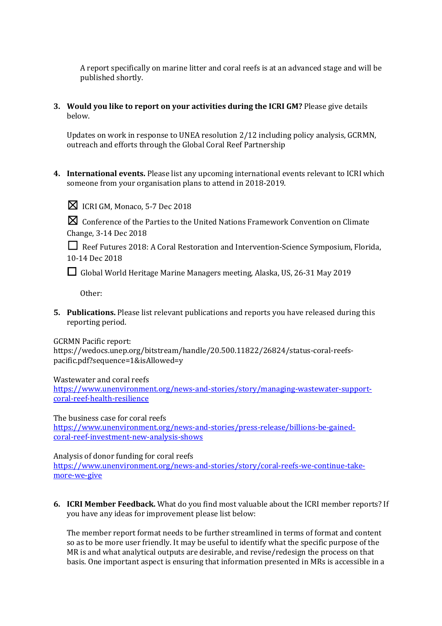A report specifically on marine litter and coral reefs is at an advanced stage and will be published shortly.

**3.** Would you like to report on your activities during the ICRI GM? Please give details below.

Updates on work in response to UNEA resolution  $2/12$  including policy analysis, GCRMN, outreach and efforts through the Global Coral Reef Partnership

**4.** International events. Please list any upcoming international events relevant to ICRI which someone from your organisation plans to attend in 2018-2019.



 $\boxtimes$  ICRI GM, Monaco, 5-7 Dec 2018

 $\boxtimes$  Conference of the Parties to the United Nations Framework Convention on Climate Change, 3-14 Dec 2018

□ Reef Futures 2018: A Coral Restoration and Intervention-Science Symposium, Florida, 10-14 Dec 2018

□ Global World Heritage Marine Managers meeting, Alaska, US, 26-31 May 2019

Other: 

**5.** Publications. Please list relevant publications and reports you have released during this reporting period.

GCRMN Pacific report:

https://wedocs.unep.org/bitstream/handle/20.500.11822/26824/status-coral-reefspacific.pdf?sequence=1&isAllowed=y

Wastewater and coral reefs

https://www.unenvironment.org/news-and-stories/story/managing-wastewater-supportcoral-reef-health-resilience

The business case for coral reefs

https://www.unenvironment.org/news-and-stories/press-release/billions-be-gainedcoral-reef-investment-new-analysis-shows

Analysis of donor funding for coral reefs

https://www.unenvironment.org/news-and-stories/story/coral-reefs-we-continue-takemore-we-give

**6. ICRI Member Feedback.** What do you find most valuable about the ICRI member reports? If you have any ideas for improvement please list below:

The member report format needs to be further streamlined in terms of format and content so as to be more user friendly. It may be useful to identify what the specific purpose of the MR is and what analytical outputs are desirable, and revise/redesign the process on that basis. One important aspect is ensuring that information presented in MRs is accessible in a